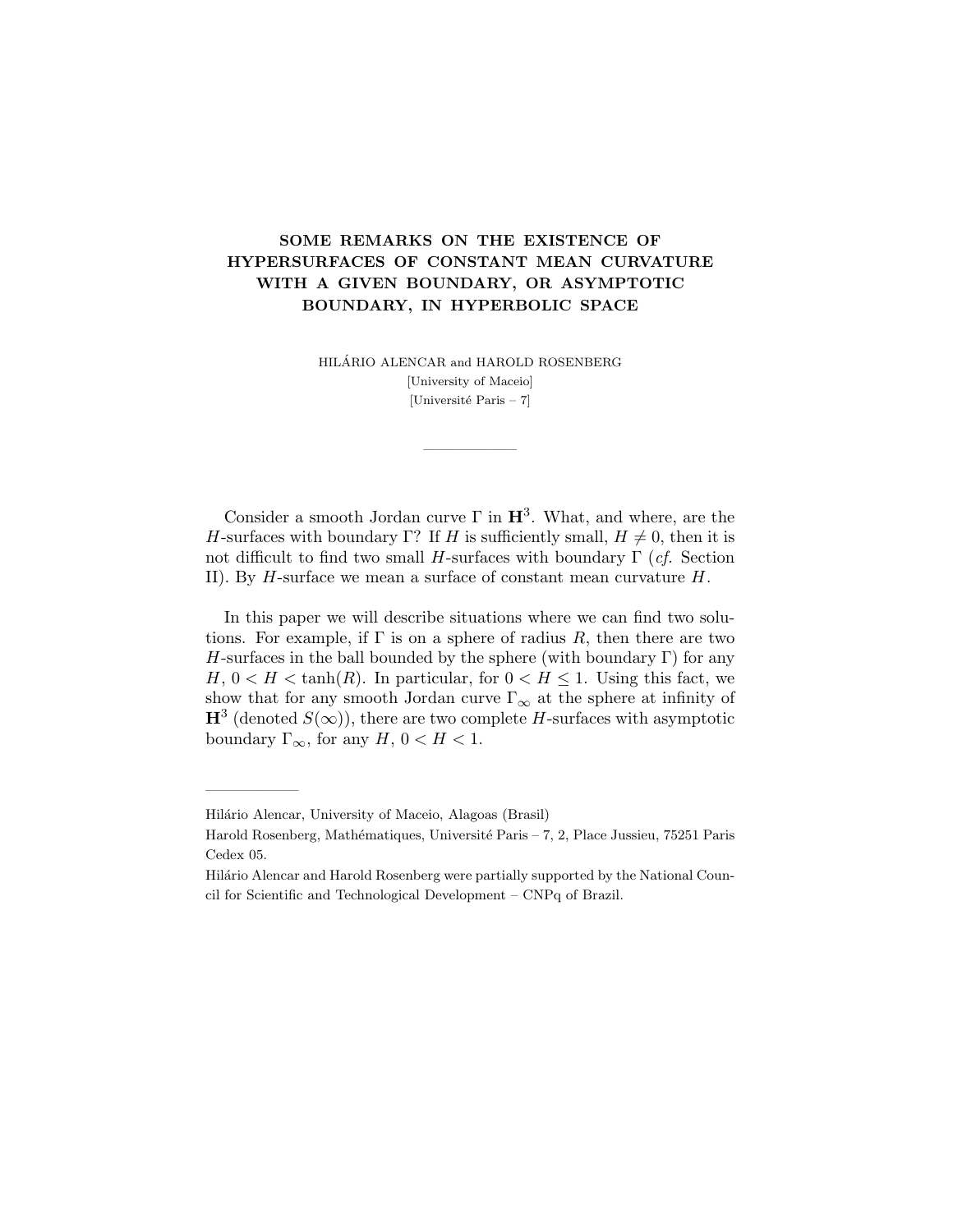# SOME REMARKS ON THE EXISTENCE OF HYPERSURFACES OF CONSTANT MEAN CURVATURE WITH A GIVEN BOUNDARY, OR ASYMPTOTIC BOUNDARY, IN HYPERBOLIC SPACE

HILÁRIO ALENCAR and HAROLD ROSENBERG [University of Maceio] [Université Paris – 7]

—————–

Consider a smooth Jordan curve  $\Gamma$  in  $\mathbb{H}^3$ . What, and where, are the H-surfaces with boundary Γ? If H is sufficiently small,  $H \neq 0$ , then it is not difficult to find two small H-surfaces with boundary  $\Gamma$  (*cf.* Section II). By H-surface we mean a surface of constant mean curvature H.

In this paper we will describe situations where we can find two solutions. For example, if  $\Gamma$  is on a sphere of radius R, then there are two H-surfaces in the ball bounded by the sphere (with boundary  $\Gamma$ ) for any  $H, 0 < H < \tanh(R)$ . In particular, for  $0 < H \leq 1$ . Using this fact, we show that for any smooth Jordan curve  $\Gamma_{\infty}$  at the sphere at infinity of  $\mathbf{H}^{3}$  (denoted  $S(\infty)$ ), there are two complete H-surfaces with asymptotic boundary  $\Gamma_{\infty}$ , for any  $H$ ,  $0 < H < 1$ .

—————–

Hilário Alencar, University of Maceio, Alagoas (Brasil)

Harold Rosenberg, Mathématiques, Université Paris – 7, 2, Place Jussieu, 75251 Paris Cedex 05.

Hilário Alencar and Harold Rosenberg were partially supported by the National Council for Scientific and Technological Development – CNPq of Brazil.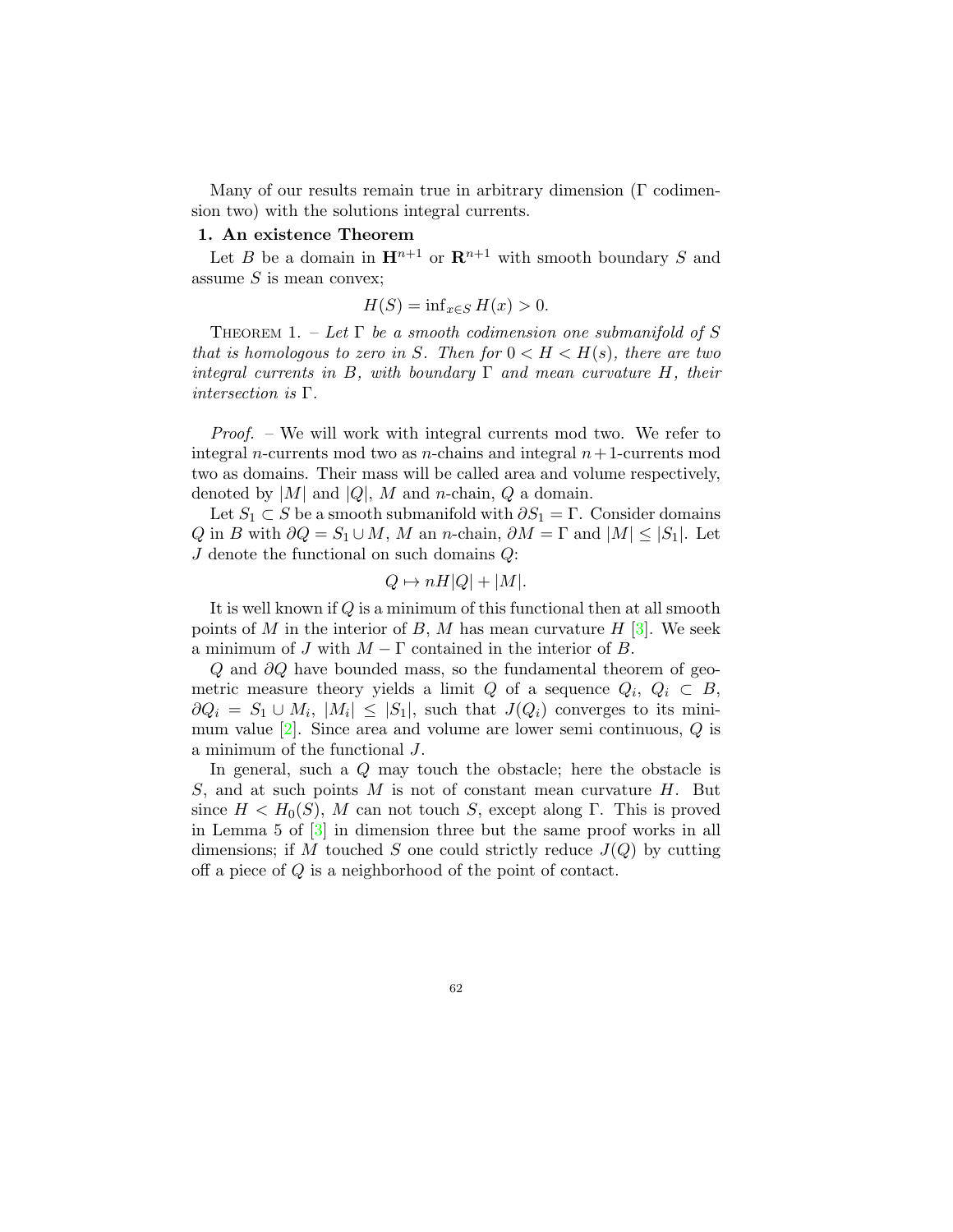Many of our results remain true in arbitrary dimension (Γ codimension two) with the solutions integral currents.

## 1. An existence Theorem

Let B be a domain in  $\mathbf{H}^{n+1}$  or  $\mathbf{R}^{n+1}$  with smooth boundary S and assume  $S$  is mean convex;

$$
H(S) = \inf_{x \in S} H(x) > 0.
$$

THEOREM 1. – Let  $\Gamma$  be a smooth codimension one submanifold of S that is homologous to zero in S. Then for  $0 < H < H(s)$ , there are two integral currents in B, with boundary  $\Gamma$  and mean curvature H, their intersection is Γ.

Proof. – We will work with integral currents mod two. We refer to integral *n*-currents mod two as *n*-chains and integral  $n+1$ -currents mod two as domains. Their mass will be called area and volume respectively, denoted by  $|M|$  and  $|Q|$ , M and n-chain, Q a domain.

Let  $S_1 \subset S$  be a smooth submanifold with  $\partial S_1 = \Gamma$ . Consider domains Q in B with  $\partial Q = S_1 \cup M$ , M an n-chain,  $\partial M = \Gamma$  and  $|M| \leq |S_1|$ . Let  $J$  denote the functional on such domains  $Q$ :

$$
Q \mapsto nH|Q| + |M|.
$$

It is well known if Q is a minimum of this functional then at all smooth points of M in the interior of B, M has mean curvature  $H$  [\[3\]](#page-8-0). We seek a minimum of J with  $M - \Gamma$  contained in the interior of B.

Q and  $\partial Q$  have bounded mass, so the fundamental theorem of geometric measure theory yields a limit Q of a sequence  $Q_i, Q_i \subset B$ ,  $\partial Q_i = S_1 \cup M_i, |M_i| \leq |S_1|$ , such that  $J(Q_i)$  converges to its minimum value  $[2]$ . Since area and volume are lower semi continuous,  $Q$  is a minimum of the functional J.

In general, such a Q may touch the obstacle; here the obstacle is S, and at such points M is not of constant mean curvature  $H$ . But since  $H < H_0(S)$ , M can not touch S, except along Γ. This is proved in Lemma 5 of [\[3\]](#page-8-0) in dimension three but the same proof works in all dimensions; if M touched S one could strictly reduce  $J(Q)$  by cutting off a piece of Q is a neighborhood of the point of contact.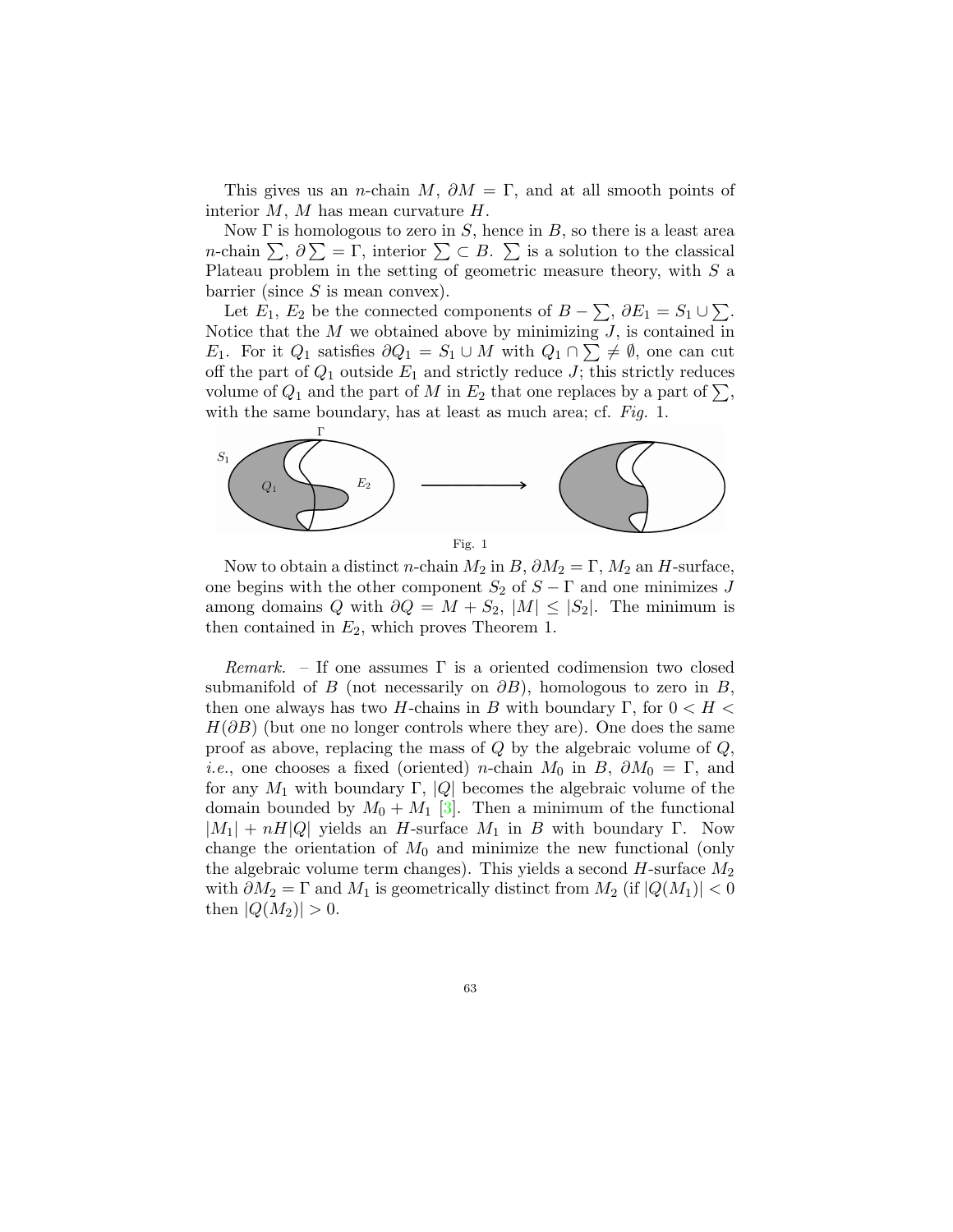This gives us an *n*-chain M,  $\partial M = \Gamma$ , and at all smooth points of interior  $M$ ,  $M$  has mean curvature  $H$ .

Now  $\Gamma$  is homologous to zero in S, hence in B, so there is a least area *n*-chain  $\sum$ ,  $\partial \sum$  =  $\Gamma$ , interior  $\sum$   $\subset$   $B$ .  $\sum$  is a solution to the classical Plateau problem in the setting of geometric measure theory, with  $S$  a barrier (since  $S$  is mean convex).

Let  $E_1, E_2$  be the connected components of  $B - \sum, \partial E_1 = S_1 \cup \sum$ . Notice that the  $M$  we obtained above by minimizing  $J$ , is contained in E<sub>1</sub>. For it  $Q_1$  satisfies  $\partial Q_1 = S_1 \cup M$  with  $Q_1 \cap \sum \neq \emptyset$ , one can cut off the part of  $Q_1$  outside  $E_1$  and strictly reduce J; this strictly reduces volume of  $Q_1$  and the part of M in  $E_2$  that one replaces by a part of  $\sum$ , with the same boundary, has at least as much area; cf. Fig. 1.



Now to obtain a distinct n-chain  $M_2$  in  $B$ ,  $\partial M_2 = \Gamma$ ,  $M_2$  an H-surface, one begins with the other component  $S_2$  of  $S - \Gamma$  and one minimizes J among domains Q with  $\partial Q = M + S_2$ ,  $|M| \leq |S_2|$ . The minimum is then contained in  $E_2$ , which proves Theorem 1.

Remark. – If one assumes  $\Gamma$  is a oriented codimension two closed submanifold of B (not necessarily on  $\partial B$ ), homologous to zero in B, then one always has two H-chains in B with boundary Γ, for  $0 < H <$  $H(\partial B)$  (but one no longer controls where they are). One does the same proof as above, replacing the mass of  $Q$  by the algebraic volume of  $Q$ , *i.e.*, one chooses a fixed (oriented) *n*-chain  $M_0$  in  $B$ ,  $\partial M_0 = \Gamma$ , and for any  $M_1$  with boundary Γ, |Q| becomes the algebraic volume of the domain bounded by  $M_0 + M_1$  [\[3\]](#page-8-0). Then a minimum of the functional  $|M_1| + nH|Q|$  yields an H-surface  $M_1$  in B with boundary Γ. Now change the orientation of  $M_0$  and minimize the new functional (only the algebraic volume term changes). This yields a second  $H$ -surface  $M_2$ with  $\partial M_2 = \Gamma$  and  $M_1$  is geometrically distinct from  $M_2$  (if  $|Q(M_1)| < 0$ then  $|Q(M_2)| > 0$ .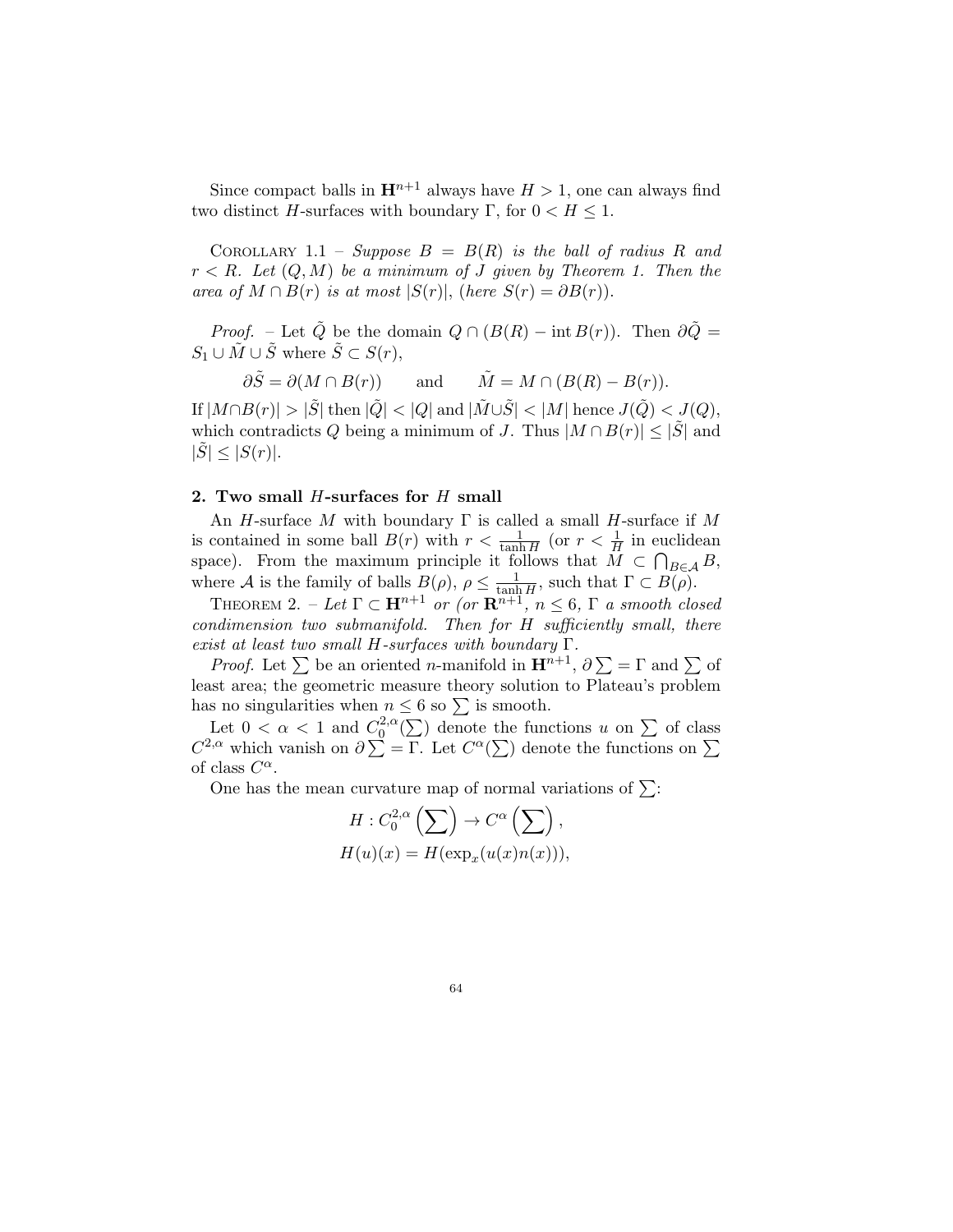Since compact balls in  $\mathbf{H}^{n+1}$  always have  $H > 1$ , one can always find two distinct H-surfaces with boundary Γ, for  $0 < H \leq 1$ .

COROLLARY 1.1 – Suppose  $B = B(R)$  is the ball of radius R and  $r < R$ . Let  $(Q, M)$  be a minimum of J given by Theorem 1. Then the area of  $M \cap B(r)$  is at most  $|S(r)|$ , (here  $S(r) = \partial B(r)$ ).

*Proof.* – Let  $\tilde{Q}$  be the domain  $Q \cap (B(R) - \text{int } B(r))$ . Then  $\partial \tilde{Q} =$  $S_1 \cup \tilde{M} \cup \tilde{S}$  where  $\tilde{S} \subset S(r)$ ,

$$
\partial \tilde{S} = \partial(M \cap B(r))
$$
 and  $\tilde{M} = M \cap (B(R) - B(r)).$ 

If  $|M \cap B(r)| > |\tilde{S}|$  then  $|\tilde{Q}| < |Q|$  and  $|\tilde{M} \cup \tilde{S}| < |M|$  hence  $J(\tilde{Q}) < J(Q)$ , which contradicts Q being a minimum of J. Thus  $|M \cap B(r)| \leq |\tilde{S}|$  and  $|\tilde{S}| \leq |S(r)|$ .

#### 2. Two small  $H$ -surfaces for  $H$  small

An H-surface M with boundary  $\Gamma$  is called a small H-surface if M is contained in some ball  $B(r)$  with  $r < \frac{1}{\tanh H}$  (or  $r < \frac{1}{H}$  in euclidean space). From the maximum principle it follows that  $M \subset \bigcap_{B \in \mathcal{A}} B$ , where A is the family of balls  $B(\rho)$ ,  $\rho \leq \frac{1}{\text{tanh}}$  $\frac{1}{\tanh H}$ , such that  $\Gamma \subset B(\rho)$ .

THEOREM 2. – Let  $\Gamma \subset \mathbf{H}^{n+1}$  or (or  $\mathbf{R}^{n+1}$ ,  $n \leq 6$ ,  $\Gamma$  a smooth closed condimension two submanifold. Then for H sufficiently small, there exist at least two small H-surfaces with boundary Γ.

*Proof.* Let  $\sum$  be an oriented *n*-manifold in  $\mathbf{H}^{n+1}$ ,  $\partial \sum = \Gamma$  and  $\sum$  of least area; the geometric measure theory solution to Plateau's problem has no singularities when  $n \leq 6$  so  $\sum$  is smooth.

Let  $0 < \alpha < 1$  and  $C_0^{2,\alpha}$  $\binom{2,\alpha}{0}$  denote the functions u on  $\sum$  of class  $C^{2,\alpha}$  which vanish on  $\partial \sum = \Gamma$ . Let  $C^{\alpha}(\sum)$  denote the functions on  $\Sigma$ of class  $C^{\alpha}$ .

One has the mean curvature map of normal variations of  $\Sigma$ :

$$
H: C_0^{2,\alpha} \left( \sum \right) \to C^{\alpha} \left( \sum \right),
$$
  

$$
H(u)(x) = H(\exp_x(u(x)n(x))),
$$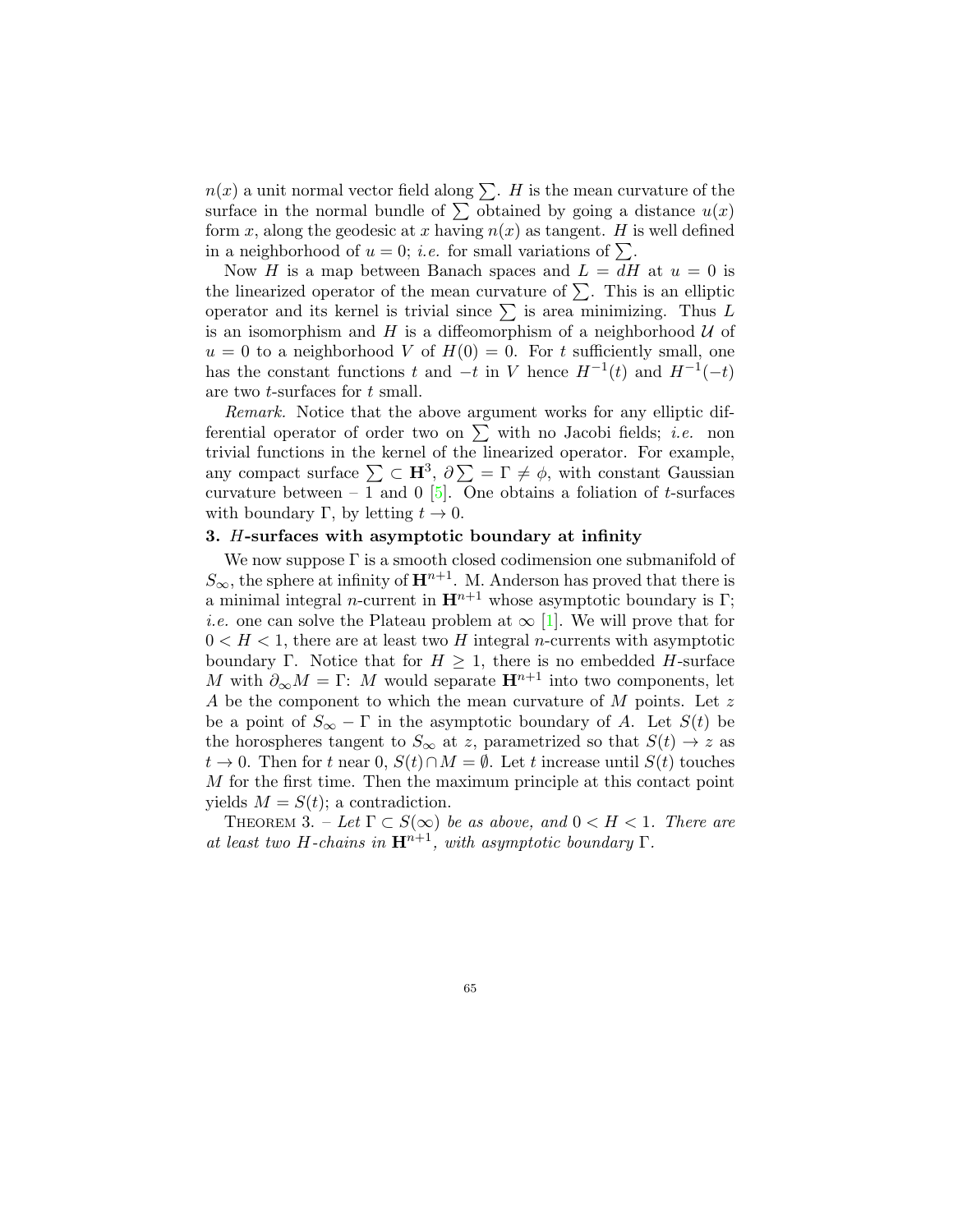$n(x)$  a unit normal vector field along  $\sum$ . H is the mean curvature of the surface in the normal bundle of  $\sum$  obtained by going a distance  $u(x)$ form x, along the geodesic at x having  $n(x)$  as tangent. H is well defined in a neighborhood of  $u = 0$ ; *i.e.* for small variations of  $\Sigma$ .

Now H is a map between Banach spaces and  $L = dH$  at  $u = 0$  is the linearized operator of the mean curvature of  $\Sigma$ . This is an elliptic operator and its kernel is trivial since  $\sum$  is area minimizing. Thus L is an isomorphism and  $H$  is a diffeomorphism of a neighborhood  $U$  of  $u = 0$  to a neighborhood V of  $H(0) = 0$ . For t sufficiently small, one has the constant functions t and  $-t$  in V hence  $H^{-1}(t)$  and  $H^{-1}(-t)$ are two t-surfaces for t small.

Remark. Notice that the above argument works for any elliptic differential operator of order two on  $\sum$  with no Jacobi fields; *i.e.* non trivial functions in the kernel of the linearized operator. For example, any compact surface  $\sum \subset \mathbf{H}^3$ ,  $\partial \sum = \Gamma \neq \phi$ , with constant Gaussian curvature between – 1 and 0 [\[5\]](#page-8-2). One obtains a foliation of t-surfaces with boundary Γ, by letting  $t \to 0$ .

### 3. H-surfaces with asymptotic boundary at infinity

We now suppose  $\Gamma$  is a smooth closed codimension one submanifold of  $S_{\infty}$ , the sphere at infinity of  $\mathbf{H}^{n+1}$ . M. Anderson has proved that there is a minimal integral *n*-current in  $\mathbf{H}^{n+1}$  whose asymptotic boundary is Γ; *i.e.* one can solve the Plateau problem at  $\infty$  [\[1\]](#page-8-3). We will prove that for  $0 < H < 1$ , there are at least two H integral *n*-currents with asymptotic boundary Γ. Notice that for  $H \geq 1$ , there is no embedded H-surface M with  $\partial_{\infty}M = \Gamma: M$  would separate  $\mathbf{H}^{n+1}$  into two components, let A be the component to which the mean curvature of  $M$  points. Let  $z$ be a point of  $S_{\infty} - \Gamma$  in the asymptotic boundary of A. Let  $S(t)$  be the horospheres tangent to  $S_{\infty}$  at z, parametrized so that  $S(t) \rightarrow z$  as  $t \to 0$ . Then for t near  $0, S(t) \cap M = \emptyset$ . Let t increase until  $S(t)$  touches M for the first time. Then the maximum principle at this contact point yields  $M = S(t)$ ; a contradiction.

THEOREM 3. – Let  $\Gamma \subset S(\infty)$  be as above, and  $0 < H < 1$ . There are at least two H-chains in  $\mathbf{H}^{n+1}$ , with asymptotic boundary  $\Gamma$ .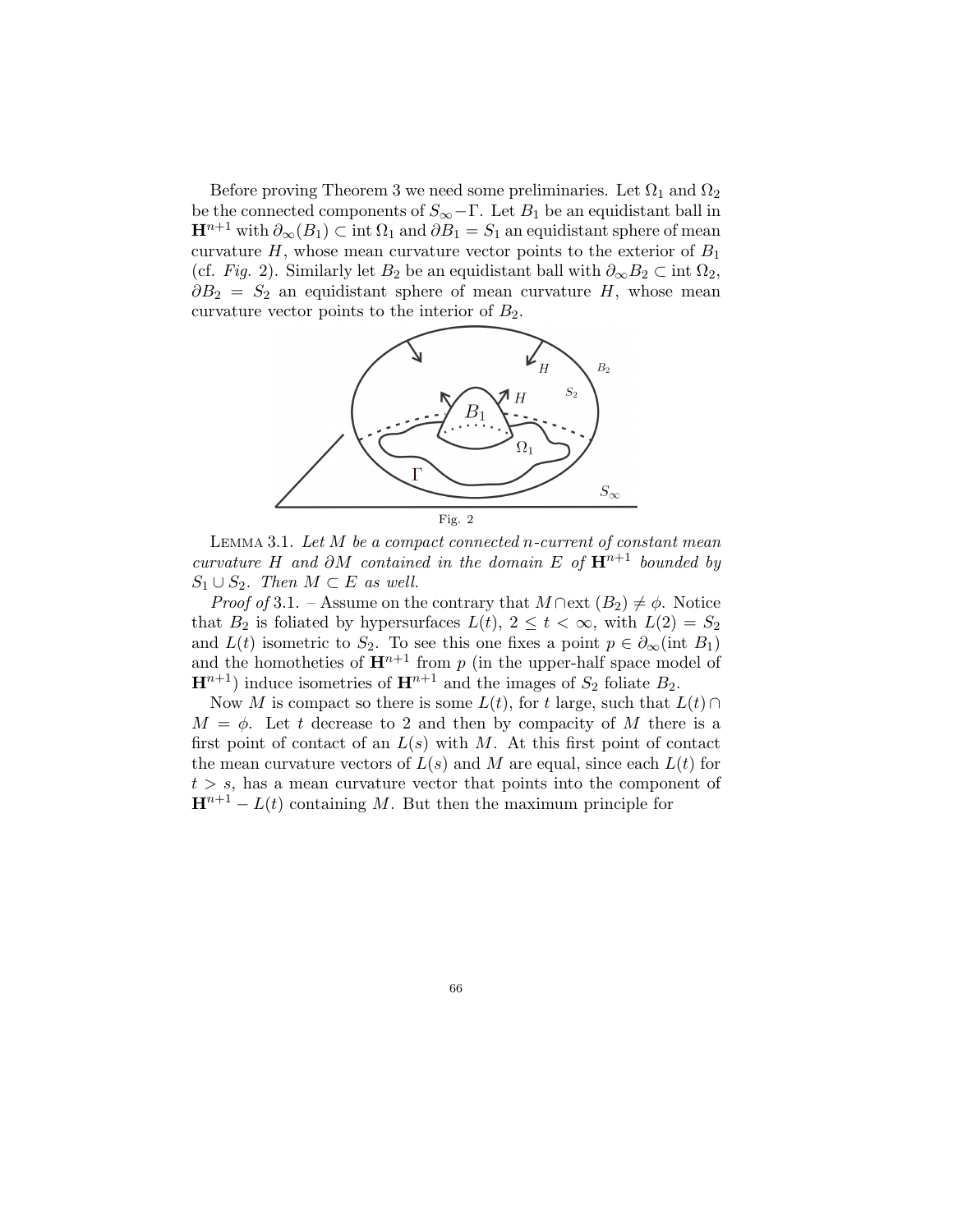Before proving Theorem 3 we need some preliminaries. Let  $\Omega_1$  and  $\Omega_2$ be the connected components of  $S_{\infty}$  –  $\Gamma$ . Let  $B_1$  be an equidistant ball in  $\mathbf{H}^{n+1}$  with  $\partial_{\infty}(B_1) \subset \text{int } \Omega_1$  and  $\partial B_1 = S_1$  an equidistant sphere of mean curvature  $H$ , whose mean curvature vector points to the exterior of  $B_1$ (cf. Fig. 2). Similarly let  $B_2$  be an equidistant ball with  $\partial_{\infty}B_2 \subset \text{int } \Omega_2$ ,  $\partial B_2 = S_2$  an equidistant sphere of mean curvature H, whose mean curvature vector points to the interior of  $B_2$ .



LEMMA 3.1. Let  $M$  be a compact connected n-current of constant mean curvature H and  $\partial M$  contained in the domain E of  $\mathbf{H}^{n+1}$  bounded by  $S_1 \cup S_2$ . Then  $M \subset E$  as well.

*Proof of* 3.1. – Assume on the contrary that  $M \cap ext (B_2) \neq \emptyset$ . Notice that  $B_2$  is foliated by hypersurfaces  $L(t)$ ,  $2 \le t < \infty$ , with  $L(2) = S_2$ and  $L(t)$  isometric to  $S_2$ . To see this one fixes a point  $p \in \partial_{\infty}(\text{int } B_1)$ and the homotheties of  $\mathbf{H}^{n+1}$  from p (in the upper-half space model of  $\mathbf{H}^{n+1}$ ) induce isometries of  $\mathbf{H}^{n+1}$  and the images of  $S_2$  foliate  $B_2$ .

Now M is compact so there is some  $L(t)$ , for t large, such that  $L(t) \cap$  $M = \phi$ . Let t decrease to 2 and then by compacity of M there is a first point of contact of an  $L(s)$  with M. At this first point of contact the mean curvature vectors of  $L(s)$  and M are equal, since each  $L(t)$  for  $t > s$ , has a mean curvature vector that points into the component of  $\mathbf{H}^{n+1} - L(t)$  containing M. But then the maximum principle for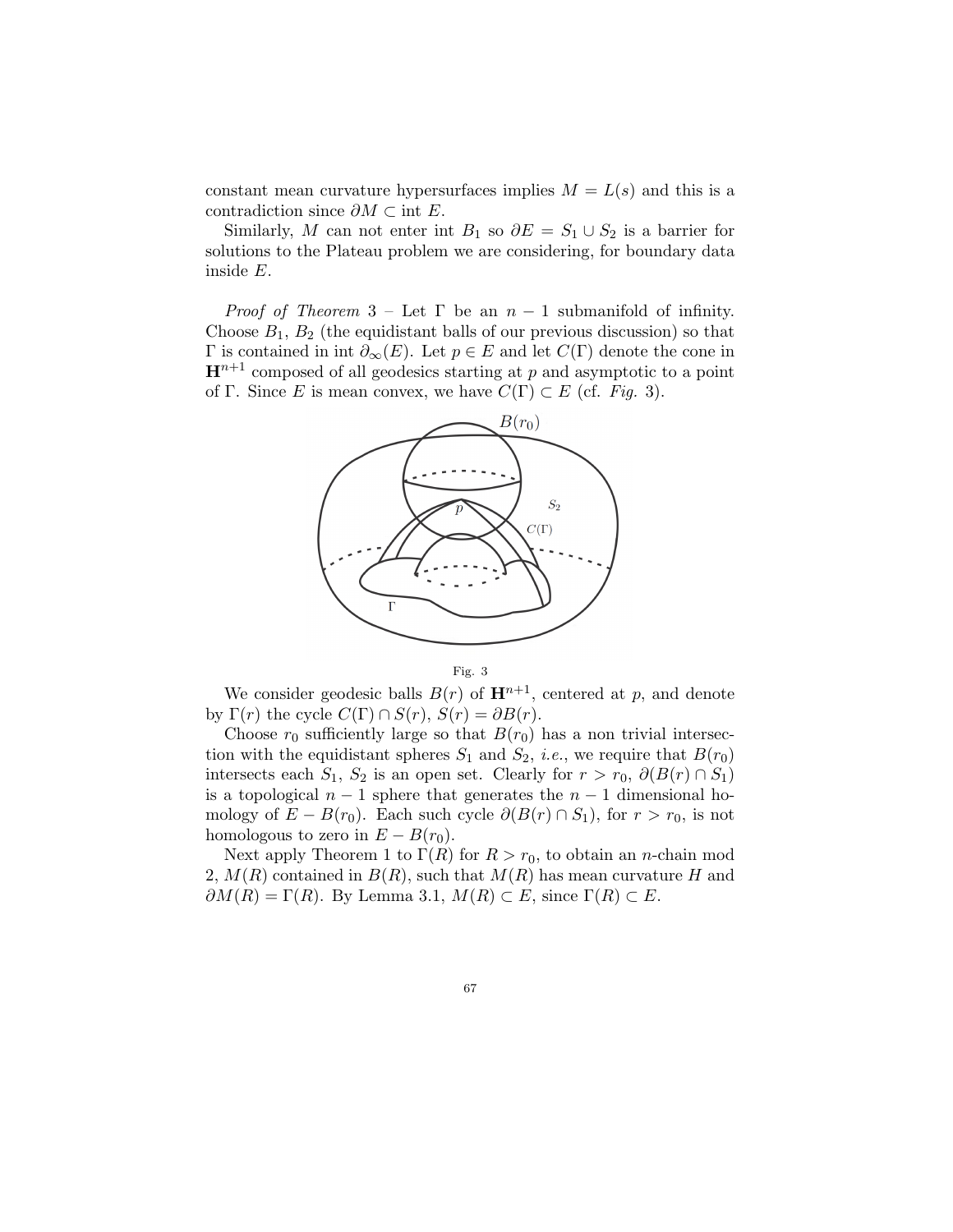constant mean curvature hypersurfaces implies  $M = L(s)$  and this is a contradiction since  $\partial M \subset \text{int } E$ .

Similarly, M can not enter int B<sub>1</sub> so  $\partial E = S_1 \cup S_2$  is a barrier for solutions to the Plateau problem we are considering, for boundary data inside E.

*Proof of Theorem*  $3 - \text{Let } \Gamma$  be an  $n - 1$  submanifold of infinity. Choose  $B_1, B_2$  (the equidistant balls of our previous discussion) so that Γ is contained in int  $∂<sub>∞</sub>(E)$ . Let  $p ∈ E$  and let  $C(Γ)$  denote the cone in  $\mathbf{H}^{n+1}$  composed of all geodesics starting at p and asymptotic to a point of Γ. Since E is mean convex, we have  $C(\Gamma) \subset E$  (cf. Fig. 3).



Fig. 3

We consider geodesic balls  $B(r)$  of  $\mathbf{H}^{n+1}$ , centered at p, and denote by  $\Gamma(r)$  the cycle  $C(\Gamma) \cap S(r)$ ,  $S(r) = \partial B(r)$ .

Choose  $r_0$  sufficiently large so that  $B(r_0)$  has a non trivial intersection with the equidistant spheres  $S_1$  and  $S_2$ , *i.e.*, we require that  $B(r_0)$ intersects each  $S_1$ ,  $S_2$  is an open set. Clearly for  $r > r_0$ ,  $\partial(B(r) \cap S_1)$ is a topological  $n-1$  sphere that generates the  $n-1$  dimensional homology of  $E - B(r_0)$ . Each such cycle  $\partial(B(r) \cap S_1)$ , for  $r > r_0$ , is not homologous to zero in  $E - B(r_0)$ .

Next apply Theorem 1 to  $\Gamma(R)$  for  $R > r_0$ , to obtain an *n*-chain mod 2,  $M(R)$  contained in  $B(R)$ , such that  $M(R)$  has mean curvature H and  $\partial M(R) = \Gamma(R)$ . By Lemma 3.1,  $M(R) \subset E$ , since  $\Gamma(R) \subset E$ .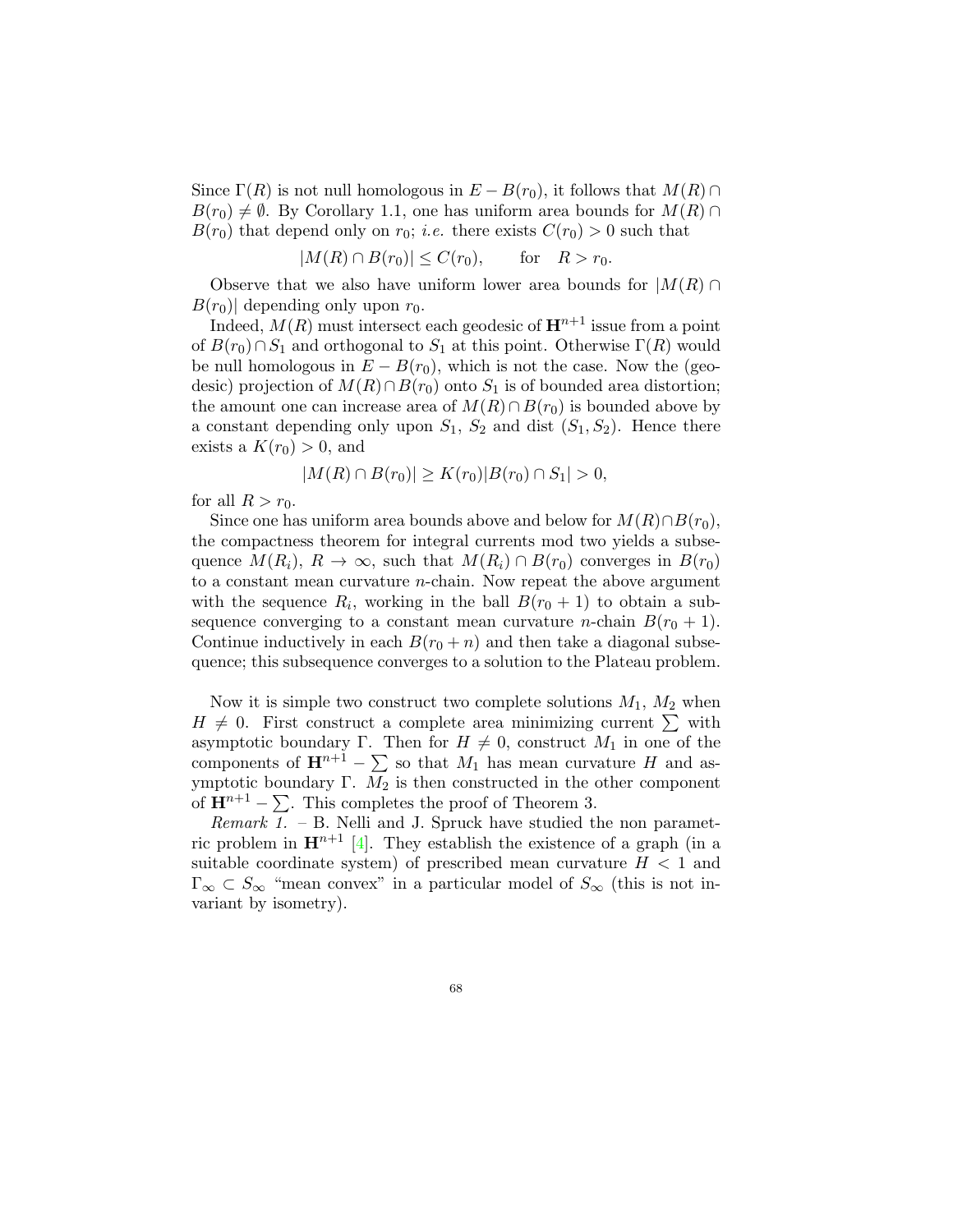Since  $\Gamma(R)$  is not null homologous in  $E - B(r_0)$ , it follows that  $M(R) \cap$  $B(r_0) \neq \emptyset$ . By Corollary 1.1, one has uniform area bounds for  $M(R) \cap$  $B(r_0)$  that depend only on  $r_0$ ; *i.e.* there exists  $C(r_0) > 0$  such that

$$
|M(R) \cap B(r_0)| \le C(r_0), \quad \text{for} \quad R > r_0.
$$

Observe that we also have uniform lower area bounds for  $|M(R) \cap$  $B(r_0)$  depending only upon  $r_0$ .

Indeed,  $M(R)$  must intersect each geodesic of  $\mathbf{H}^{n+1}$  issue from a point of  $B(r_0) \cap S_1$  and orthogonal to  $S_1$  at this point. Otherwise  $\Gamma(R)$  would be null homologous in  $E - B(r_0)$ , which is not the case. Now the (geodesic) projection of  $M(R) \cap B(r_0)$  onto  $S_1$  is of bounded area distortion; the amount one can increase area of  $M(R) \cap B(r_0)$  is bounded above by a constant depending only upon  $S_1$ ,  $S_2$  and dist  $(S_1, S_2)$ . Hence there exists a  $K(r_0) > 0$ , and

$$
|M(R) \cap B(r_0)| \ge K(r_0)|B(r_0) \cap S_1| > 0,
$$

for all  $R > r_0$ .

Since one has uniform area bounds above and below for  $M(R) \cap B(r_0)$ , the compactness theorem for integral currents mod two yields a subsequence  $M(R_i)$ ,  $R \to \infty$ , such that  $M(R_i) \cap B(r_0)$  converges in  $B(r_0)$ to a constant mean curvature n-chain. Now repeat the above argument with the sequence  $R_i$ , working in the ball  $B(r_0 + 1)$  to obtain a subsequence converging to a constant mean curvature *n*-chain  $B(r_0 + 1)$ . Continue inductively in each  $B(r_0 + n)$  and then take a diagonal subsequence; this subsequence converges to a solution to the Plateau problem.

Now it is simple two construct two complete solutions  $M_1$ ,  $M_2$  when  $H \neq 0$ . First construct a complete area minimizing current  $\sum$  with asymptotic boundary Γ. Then for  $H \neq 0$ , construct  $M_1$  in one of the components of  $\mathbf{H}^{n+1} - \sum$  so that  $M_1$  has mean curvature H and asymptotic boundary Γ.  $M_2$  is then constructed in the other component of  $\mathbf{H}^{n+1} - \sum$ . This completes the proof of Theorem 3.

*Remark 1.* – B. Nelli and J. Spruck have studied the non parametric problem in  $\mathbf{H}^{n+1}$  [\[4\]](#page-8-4). They establish the existence of a graph (in a suitable coordinate system) of prescribed mean curvature  $H < 1$  and  $\Gamma_{\infty} \subset S_{\infty}$  "mean convex" in a particular model of  $S_{\infty}$  (this is not invariant by isometry).